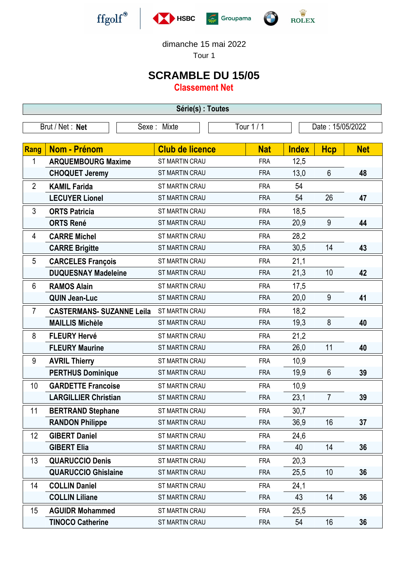





dimanche 15 mai 2022

Tour 1

## **SCRAMBLE DU 15/05**

**Classement Net**

| Série(s) : Toutes |                                  |                        |            |              |                  |            |  |  |  |
|-------------------|----------------------------------|------------------------|------------|--------------|------------------|------------|--|--|--|
|                   | Brut / Net: Net                  | Sexe: Mixte            | Tour 1 / 1 |              | Date: 15/05/2022 |            |  |  |  |
|                   |                                  |                        |            |              |                  |            |  |  |  |
| Rang              | <b>Nom - Prénom</b>              | <b>Club de licence</b> | <b>Nat</b> | <b>Index</b> | <b>Hcp</b>       | <b>Net</b> |  |  |  |
| 1                 | <b>ARQUEMBOURG Maxime</b>        | ST MARTIN CRAU         | <b>FRA</b> | 12,5         |                  |            |  |  |  |
|                   | <b>CHOQUET Jeremy</b>            | <b>ST MARTIN CRAU</b>  | <b>FRA</b> | 13,0         | $6\phantom{1}$   | 48         |  |  |  |
| $\overline{2}$    | <b>KAMIL Farida</b>              | <b>ST MARTIN CRAU</b>  | <b>FRA</b> | 54           |                  |            |  |  |  |
|                   | <b>LECUYER Lionel</b>            | ST MARTIN CRAU         | <b>FRA</b> | 54           | 26               | 47         |  |  |  |
| 3                 | <b>ORTS Patricia</b>             | <b>ST MARTIN CRAU</b>  | <b>FRA</b> | 18,5         |                  |            |  |  |  |
|                   | <b>ORTS René</b>                 | ST MARTIN CRAU         | <b>FRA</b> | 20,9         | 9                | 44         |  |  |  |
| 4                 | <b>CARRE Michel</b>              | <b>ST MARTIN CRAU</b>  | <b>FRA</b> | 28,2         |                  |            |  |  |  |
|                   | <b>CARRE Brigitte</b>            | ST MARTIN CRAU         | <b>FRA</b> | 30,5         | 14               | 43         |  |  |  |
| 5                 | <b>CARCELES François</b>         | ST MARTIN CRAU         | <b>FRA</b> | 21,1         |                  |            |  |  |  |
|                   | <b>DUQUESNAY Madeleine</b>       | <b>ST MARTIN CRAU</b>  | <b>FRA</b> | 21,3         | 10               | 42         |  |  |  |
| 6                 | <b>RAMOS Alain</b>               | <b>ST MARTIN CRAU</b>  | <b>FRA</b> | 17,5         |                  |            |  |  |  |
|                   | <b>QUIN Jean-Luc</b>             | <b>ST MARTIN CRAU</b>  | <b>FRA</b> | 20,0         | 9                | 41         |  |  |  |
| 7                 | <b>CASTERMANS- SUZANNE Leila</b> | <b>ST MARTIN CRAU</b>  | <b>FRA</b> | 18,2         |                  |            |  |  |  |
|                   | <b>MAILLIS Michèle</b>           | ST MARTIN CRAU         | <b>FRA</b> | 19,3         | 8                | 40         |  |  |  |
| 8                 | <b>FLEURY Hervé</b>              | ST MARTIN CRAU         | <b>FRA</b> | 21,2         |                  |            |  |  |  |
|                   | <b>FLEURY Maurine</b>            | ST MARTIN CRAU         | <b>FRA</b> | 26,0         | 11               | 40         |  |  |  |
| 9                 | <b>AVRIL Thierry</b>             | ST MARTIN CRAU         | <b>FRA</b> | 10,9         |                  |            |  |  |  |
|                   | <b>PERTHUS Dominique</b>         | ST MARTIN CRAU         | <b>FRA</b> | 19,9         | $6\phantom{1}$   | 39         |  |  |  |
| 10                | <b>GARDETTE Francoise</b>        | ST MARTIN CRAU         | <b>FRA</b> | 10,9         |                  |            |  |  |  |
|                   | <b>LARGILLIER Christian</b>      | ST MARTIN CRAU         | <b>FRA</b> | 23,1         | $\overline{7}$   | 39         |  |  |  |
| 11                | <b>BERTRAND Stephane</b>         | ST MARTIN CRAU         | <b>FRA</b> | 30,7         |                  |            |  |  |  |
|                   | <b>RANDON Philippe</b>           | <b>ST MARTIN CRAU</b>  | <b>FRA</b> | 36,9         | 16               | 37         |  |  |  |
| 12                | <b>GIBERT Daniel</b>             | <b>ST MARTIN CRAU</b>  | <b>FRA</b> | 24,6         |                  |            |  |  |  |
|                   | <b>GIBERT Elia</b>               | ST MARTIN CRAU         | <b>FRA</b> | 40           | 14               | 36         |  |  |  |
| 13                | <b>QUARUCCIO Denis</b>           | ST MARTIN CRAU         | <b>FRA</b> | 20,3         |                  |            |  |  |  |
|                   | <b>QUARUCCIO Ghislaine</b>       | ST MARTIN CRAU         | <b>FRA</b> | 25,5         | 10               | 36         |  |  |  |
| 14                | <b>COLLIN Daniel</b>             | ST MARTIN CRAU         | <b>FRA</b> | 24,1         |                  |            |  |  |  |
|                   | <b>COLLIN Liliane</b>            | <b>ST MARTIN CRAU</b>  | <b>FRA</b> | 43           | 14               | 36         |  |  |  |
| 15                | <b>AGUIDR Mohammed</b>           | ST MARTIN CRAU         | <b>FRA</b> | 25,5         |                  |            |  |  |  |
|                   | <b>TINOCO Catherine</b>          | ST MARTIN CRAU         | <b>FRA</b> | 54           | 16               | 36         |  |  |  |